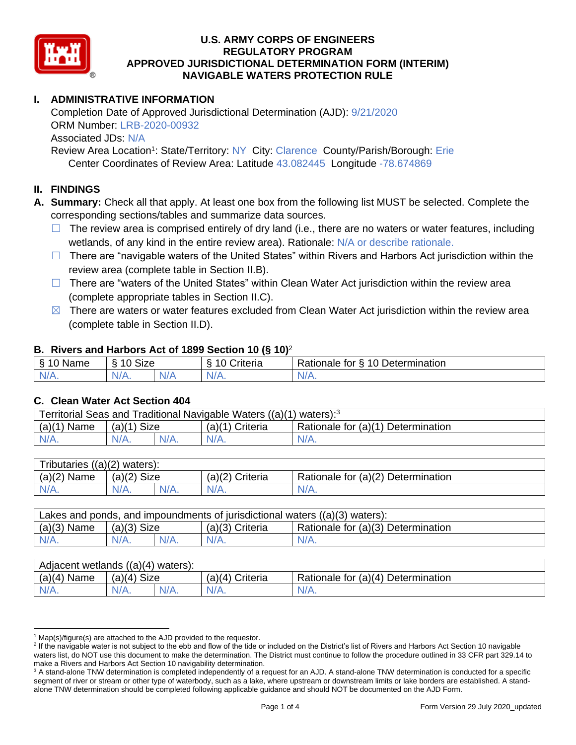

## **I. ADMINISTRATIVE INFORMATION**

Completion Date of Approved Jurisdictional Determination (AJD): 9/21/2020 ORM Number: LRB-2020-00932 Associated JDs: N/A

Review Area Location<sup>1</sup>: State/Territory: NY City: Clarence County/Parish/Borough: Erie Center Coordinates of Review Area: Latitude 43.082445 Longitude -78.674869

### **II. FINDINGS**

**A. Summary:** Check all that apply. At least one box from the following list MUST be selected. Complete the corresponding sections/tables and summarize data sources.

- $\Box$  The review area is comprised entirely of dry land (i.e., there are no waters or water features, including wetlands, of any kind in the entire review area). Rationale: N/A or describe rationale.
- $\Box$  There are "navigable waters of the United States" within Rivers and Harbors Act jurisdiction within the review area (complete table in Section II.B).
- ☐ There are "waters of the United States" within Clean Water Act jurisdiction within the review area (complete appropriate tables in Section II.C).
- $\boxtimes$  There are waters or water features excluded from Clean Water Act jurisdiction within the review area (complete table in Section II.D).

### **B. Rivers and Harbors Act of 1899 Section 10 (§ 10)**<sup>2</sup>

| ξ<br>$\sim$<br>.<br>'vame<br>u<br>$\cdot$ | Size<br>$\sim$<br>c |     | $\overline{\phantom{a}}$<br>`rıteria<br>` | $\sim$<br>10<br>-<br>-<br>. .<br><b>Determination</b><br>tor<br>naie |
|-------------------------------------------|---------------------|-----|-------------------------------------------|----------------------------------------------------------------------|
| $N/A$ .                                   | N/<br>$\mathbf{v}$  | N/r | N/A.                                      | INI.<br><b>MII.</b>                                                  |

#### **C. Clean Water Act Section 404**

| Territorial Seas and Traditional Navigable Waters ((a)(1) waters): <sup>3</sup> |                |  |                   |                                    |  |  |  |
|---------------------------------------------------------------------------------|----------------|--|-------------------|------------------------------------|--|--|--|
| (a)(1)<br>Name                                                                  | Size<br>(a)(1) |  | $(a)(1)$ Criteria | Rationale for (a)(1) Determination |  |  |  |
|                                                                                 | $N/A$ .        |  | $N/A$ .           | $N/A$ .                            |  |  |  |

| Tributaries<br>$((a)(2)$ waters): |                |  |                 |                                    |  |  |  |  |
|-----------------------------------|----------------|--|-----------------|------------------------------------|--|--|--|--|
| (a)(2)<br>Name                    | (a)(2)<br>Size |  | (a)(2) Criteria | Rationale for (a)(2) Determination |  |  |  |  |
| $N/A$ .                           | $N/A$ .        |  | $N/A$ .         | N/A.                               |  |  |  |  |

| Lakes and ponds, and impoundments of jurisdictional waters ((a)(3) waters): |               |         |                 |                                    |  |  |  |
|-----------------------------------------------------------------------------|---------------|---------|-----------------|------------------------------------|--|--|--|
| $(a)(3)$ Name                                                               | $(a)(3)$ Size |         | (a)(3) Criteria | Rationale for (a)(3) Determination |  |  |  |
| $N/A$ .                                                                     |               | $N/A$ . | $N/A$ .         | $N/A$ .                            |  |  |  |

| Adjacent wetlands $((a)(4))$<br>waters): |                       |         |                    |                                    |  |  |  |
|------------------------------------------|-----------------------|---------|--------------------|------------------------------------|--|--|--|
| (a)(4)<br>Name                           | <b>Size</b><br>(a)(4) |         | (a)(4)<br>Criteria | Rationale for (a)(4) Determination |  |  |  |
| N/A.                                     | $N/A$ .               | $N/A$ . | N/A.               | $N/A$ .                            |  |  |  |

 $1$  Map(s)/figure(s) are attached to the AJD provided to the requestor.

<sup>&</sup>lt;sup>2</sup> If the navigable water is not subject to the ebb and flow of the tide or included on the District's list of Rivers and Harbors Act Section 10 navigable waters list, do NOT use this document to make the determination. The District must continue to follow the procedure outlined in 33 CFR part 329.14 to make a Rivers and Harbors Act Section 10 navigability determination.

<sup>&</sup>lt;sup>3</sup> A stand-alone TNW determination is completed independently of a request for an AJD. A stand-alone TNW determination is conducted for a specific segment of river or stream or other type of waterbody, such as a lake, where upstream or downstream limits or lake borders are established. A standalone TNW determination should be completed following applicable guidance and should NOT be documented on the AJD Form.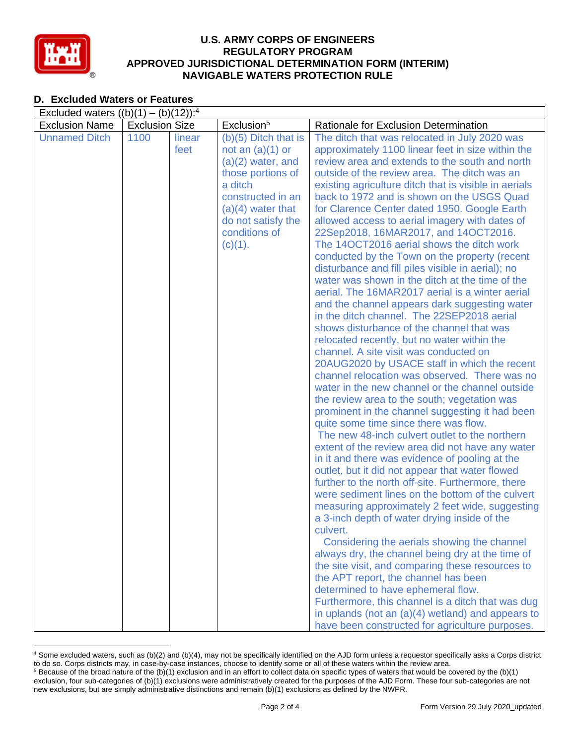

## **D. Excluded Waters or Features**

| Exclusion <sup>5</sup><br><b>Exclusion Name</b><br><b>Exclusion Size</b><br>Rationale for Exclusion Determination<br><b>Unnamed Ditch</b><br>1100<br>linear<br>$(b)(5)$ Ditch that is<br>The ditch that was relocated in July 2020 was<br>feet<br>not an $(a)(1)$ or<br>approximately 1100 linear feet in size within the<br>review area and extends to the south and north<br>$(a)(2)$ water, and<br>those portions of<br>outside of the review area. The ditch was an<br>a ditch<br>existing agriculture ditch that is visible in aerials<br>back to 1972 and is shown on the USGS Quad<br>constructed in an<br>$(a)(4)$ water that<br>for Clarence Center dated 1950. Google Earth<br>do not satisfy the<br>allowed access to aerial imagery with dates of<br>conditions of<br>22Sep2018, 16MAR2017, and 14OCT2016.<br>The 14OCT2016 aerial shows the ditch work<br>$(c)(1)$ .<br>conducted by the Town on the property (recent<br>disturbance and fill piles visible in aerial); no<br>water was shown in the ditch at the time of the<br>aerial. The 16MAR2017 aerial is a winter aerial<br>and the channel appears dark suggesting water<br>in the ditch channel. The 22SEP2018 aerial<br>shows disturbance of the channel that was<br>relocated recently, but no water within the<br>channel. A site visit was conducted on<br>20AUG2020 by USACE staff in which the recent<br>channel relocation was observed. There was no | Excluded waters $((b)(1) - (b)(12))$ : <sup>4</sup> |  |                                                 |  |  |
|-------------------------------------------------------------------------------------------------------------------------------------------------------------------------------------------------------------------------------------------------------------------------------------------------------------------------------------------------------------------------------------------------------------------------------------------------------------------------------------------------------------------------------------------------------------------------------------------------------------------------------------------------------------------------------------------------------------------------------------------------------------------------------------------------------------------------------------------------------------------------------------------------------------------------------------------------------------------------------------------------------------------------------------------------------------------------------------------------------------------------------------------------------------------------------------------------------------------------------------------------------------------------------------------------------------------------------------------------------------------------------------------------------------------------------------|-----------------------------------------------------|--|-------------------------------------------------|--|--|
|                                                                                                                                                                                                                                                                                                                                                                                                                                                                                                                                                                                                                                                                                                                                                                                                                                                                                                                                                                                                                                                                                                                                                                                                                                                                                                                                                                                                                                     |                                                     |  |                                                 |  |  |
|                                                                                                                                                                                                                                                                                                                                                                                                                                                                                                                                                                                                                                                                                                                                                                                                                                                                                                                                                                                                                                                                                                                                                                                                                                                                                                                                                                                                                                     |                                                     |  |                                                 |  |  |
|                                                                                                                                                                                                                                                                                                                                                                                                                                                                                                                                                                                                                                                                                                                                                                                                                                                                                                                                                                                                                                                                                                                                                                                                                                                                                                                                                                                                                                     |                                                     |  |                                                 |  |  |
|                                                                                                                                                                                                                                                                                                                                                                                                                                                                                                                                                                                                                                                                                                                                                                                                                                                                                                                                                                                                                                                                                                                                                                                                                                                                                                                                                                                                                                     |                                                     |  |                                                 |  |  |
|                                                                                                                                                                                                                                                                                                                                                                                                                                                                                                                                                                                                                                                                                                                                                                                                                                                                                                                                                                                                                                                                                                                                                                                                                                                                                                                                                                                                                                     |                                                     |  |                                                 |  |  |
|                                                                                                                                                                                                                                                                                                                                                                                                                                                                                                                                                                                                                                                                                                                                                                                                                                                                                                                                                                                                                                                                                                                                                                                                                                                                                                                                                                                                                                     |                                                     |  |                                                 |  |  |
|                                                                                                                                                                                                                                                                                                                                                                                                                                                                                                                                                                                                                                                                                                                                                                                                                                                                                                                                                                                                                                                                                                                                                                                                                                                                                                                                                                                                                                     |                                                     |  |                                                 |  |  |
|                                                                                                                                                                                                                                                                                                                                                                                                                                                                                                                                                                                                                                                                                                                                                                                                                                                                                                                                                                                                                                                                                                                                                                                                                                                                                                                                                                                                                                     |                                                     |  |                                                 |  |  |
|                                                                                                                                                                                                                                                                                                                                                                                                                                                                                                                                                                                                                                                                                                                                                                                                                                                                                                                                                                                                                                                                                                                                                                                                                                                                                                                                                                                                                                     |                                                     |  |                                                 |  |  |
|                                                                                                                                                                                                                                                                                                                                                                                                                                                                                                                                                                                                                                                                                                                                                                                                                                                                                                                                                                                                                                                                                                                                                                                                                                                                                                                                                                                                                                     |                                                     |  |                                                 |  |  |
|                                                                                                                                                                                                                                                                                                                                                                                                                                                                                                                                                                                                                                                                                                                                                                                                                                                                                                                                                                                                                                                                                                                                                                                                                                                                                                                                                                                                                                     |                                                     |  |                                                 |  |  |
|                                                                                                                                                                                                                                                                                                                                                                                                                                                                                                                                                                                                                                                                                                                                                                                                                                                                                                                                                                                                                                                                                                                                                                                                                                                                                                                                                                                                                                     |                                                     |  |                                                 |  |  |
|                                                                                                                                                                                                                                                                                                                                                                                                                                                                                                                                                                                                                                                                                                                                                                                                                                                                                                                                                                                                                                                                                                                                                                                                                                                                                                                                                                                                                                     |                                                     |  |                                                 |  |  |
|                                                                                                                                                                                                                                                                                                                                                                                                                                                                                                                                                                                                                                                                                                                                                                                                                                                                                                                                                                                                                                                                                                                                                                                                                                                                                                                                                                                                                                     |                                                     |  |                                                 |  |  |
|                                                                                                                                                                                                                                                                                                                                                                                                                                                                                                                                                                                                                                                                                                                                                                                                                                                                                                                                                                                                                                                                                                                                                                                                                                                                                                                                                                                                                                     |                                                     |  |                                                 |  |  |
|                                                                                                                                                                                                                                                                                                                                                                                                                                                                                                                                                                                                                                                                                                                                                                                                                                                                                                                                                                                                                                                                                                                                                                                                                                                                                                                                                                                                                                     |                                                     |  |                                                 |  |  |
|                                                                                                                                                                                                                                                                                                                                                                                                                                                                                                                                                                                                                                                                                                                                                                                                                                                                                                                                                                                                                                                                                                                                                                                                                                                                                                                                                                                                                                     |                                                     |  |                                                 |  |  |
|                                                                                                                                                                                                                                                                                                                                                                                                                                                                                                                                                                                                                                                                                                                                                                                                                                                                                                                                                                                                                                                                                                                                                                                                                                                                                                                                                                                                                                     |                                                     |  |                                                 |  |  |
|                                                                                                                                                                                                                                                                                                                                                                                                                                                                                                                                                                                                                                                                                                                                                                                                                                                                                                                                                                                                                                                                                                                                                                                                                                                                                                                                                                                                                                     |                                                     |  |                                                 |  |  |
|                                                                                                                                                                                                                                                                                                                                                                                                                                                                                                                                                                                                                                                                                                                                                                                                                                                                                                                                                                                                                                                                                                                                                                                                                                                                                                                                                                                                                                     |                                                     |  |                                                 |  |  |
|                                                                                                                                                                                                                                                                                                                                                                                                                                                                                                                                                                                                                                                                                                                                                                                                                                                                                                                                                                                                                                                                                                                                                                                                                                                                                                                                                                                                                                     |                                                     |  |                                                 |  |  |
|                                                                                                                                                                                                                                                                                                                                                                                                                                                                                                                                                                                                                                                                                                                                                                                                                                                                                                                                                                                                                                                                                                                                                                                                                                                                                                                                                                                                                                     |                                                     |  | water in the new channel or the channel outside |  |  |
| the review area to the south; vegetation was                                                                                                                                                                                                                                                                                                                                                                                                                                                                                                                                                                                                                                                                                                                                                                                                                                                                                                                                                                                                                                                                                                                                                                                                                                                                                                                                                                                        |                                                     |  |                                                 |  |  |
| prominent in the channel suggesting it had been                                                                                                                                                                                                                                                                                                                                                                                                                                                                                                                                                                                                                                                                                                                                                                                                                                                                                                                                                                                                                                                                                                                                                                                                                                                                                                                                                                                     |                                                     |  |                                                 |  |  |
| quite some time since there was flow.                                                                                                                                                                                                                                                                                                                                                                                                                                                                                                                                                                                                                                                                                                                                                                                                                                                                                                                                                                                                                                                                                                                                                                                                                                                                                                                                                                                               |                                                     |  |                                                 |  |  |
| The new 48-inch culvert outlet to the northern                                                                                                                                                                                                                                                                                                                                                                                                                                                                                                                                                                                                                                                                                                                                                                                                                                                                                                                                                                                                                                                                                                                                                                                                                                                                                                                                                                                      |                                                     |  |                                                 |  |  |
| extent of the review area did not have any water                                                                                                                                                                                                                                                                                                                                                                                                                                                                                                                                                                                                                                                                                                                                                                                                                                                                                                                                                                                                                                                                                                                                                                                                                                                                                                                                                                                    |                                                     |  |                                                 |  |  |
| in it and there was evidence of pooling at the                                                                                                                                                                                                                                                                                                                                                                                                                                                                                                                                                                                                                                                                                                                                                                                                                                                                                                                                                                                                                                                                                                                                                                                                                                                                                                                                                                                      |                                                     |  |                                                 |  |  |
| outlet, but it did not appear that water flowed                                                                                                                                                                                                                                                                                                                                                                                                                                                                                                                                                                                                                                                                                                                                                                                                                                                                                                                                                                                                                                                                                                                                                                                                                                                                                                                                                                                     |                                                     |  |                                                 |  |  |
| further to the north off-site. Furthermore, there                                                                                                                                                                                                                                                                                                                                                                                                                                                                                                                                                                                                                                                                                                                                                                                                                                                                                                                                                                                                                                                                                                                                                                                                                                                                                                                                                                                   |                                                     |  |                                                 |  |  |
| were sediment lines on the bottom of the culvert                                                                                                                                                                                                                                                                                                                                                                                                                                                                                                                                                                                                                                                                                                                                                                                                                                                                                                                                                                                                                                                                                                                                                                                                                                                                                                                                                                                    |                                                     |  |                                                 |  |  |
| measuring approximately 2 feet wide, suggesting                                                                                                                                                                                                                                                                                                                                                                                                                                                                                                                                                                                                                                                                                                                                                                                                                                                                                                                                                                                                                                                                                                                                                                                                                                                                                                                                                                                     |                                                     |  |                                                 |  |  |
| a 3-inch depth of water drying inside of the                                                                                                                                                                                                                                                                                                                                                                                                                                                                                                                                                                                                                                                                                                                                                                                                                                                                                                                                                                                                                                                                                                                                                                                                                                                                                                                                                                                        |                                                     |  |                                                 |  |  |
| culvert.                                                                                                                                                                                                                                                                                                                                                                                                                                                                                                                                                                                                                                                                                                                                                                                                                                                                                                                                                                                                                                                                                                                                                                                                                                                                                                                                                                                                                            |                                                     |  |                                                 |  |  |
| Considering the aerials showing the channel                                                                                                                                                                                                                                                                                                                                                                                                                                                                                                                                                                                                                                                                                                                                                                                                                                                                                                                                                                                                                                                                                                                                                                                                                                                                                                                                                                                         |                                                     |  |                                                 |  |  |
| always dry, the channel being dry at the time of                                                                                                                                                                                                                                                                                                                                                                                                                                                                                                                                                                                                                                                                                                                                                                                                                                                                                                                                                                                                                                                                                                                                                                                                                                                                                                                                                                                    |                                                     |  |                                                 |  |  |
| the site visit, and comparing these resources to                                                                                                                                                                                                                                                                                                                                                                                                                                                                                                                                                                                                                                                                                                                                                                                                                                                                                                                                                                                                                                                                                                                                                                                                                                                                                                                                                                                    |                                                     |  |                                                 |  |  |
| the APT report, the channel has been                                                                                                                                                                                                                                                                                                                                                                                                                                                                                                                                                                                                                                                                                                                                                                                                                                                                                                                                                                                                                                                                                                                                                                                                                                                                                                                                                                                                |                                                     |  |                                                 |  |  |
| determined to have ephemeral flow.                                                                                                                                                                                                                                                                                                                                                                                                                                                                                                                                                                                                                                                                                                                                                                                                                                                                                                                                                                                                                                                                                                                                                                                                                                                                                                                                                                                                  |                                                     |  |                                                 |  |  |
| Furthermore, this channel is a ditch that was dug                                                                                                                                                                                                                                                                                                                                                                                                                                                                                                                                                                                                                                                                                                                                                                                                                                                                                                                                                                                                                                                                                                                                                                                                                                                                                                                                                                                   |                                                     |  |                                                 |  |  |
| in uplands (not an $(a)(4)$ wetland) and appears to<br>have been constructed for agriculture purposes.                                                                                                                                                                                                                                                                                                                                                                                                                                                                                                                                                                                                                                                                                                                                                                                                                                                                                                                                                                                                                                                                                                                                                                                                                                                                                                                              |                                                     |  |                                                 |  |  |

<sup>4</sup> Some excluded waters, such as (b)(2) and (b)(4), may not be specifically identified on the AJD form unless a requestor specifically asks a Corps district to do so. Corps districts may, in case-by-case instances, choose to identify some or all of these waters within the review area.  $5$  Because of the broad nature of the (b)(1) exclusion and in an effort to collect data on specific types of waters that would be covered by the (b)(1)

exclusion, four sub-categories of (b)(1) exclusions were administratively created for the purposes of the AJD Form. These four sub-categories are not new exclusions, but are simply administrative distinctions and remain (b)(1) exclusions as defined by the NWPR.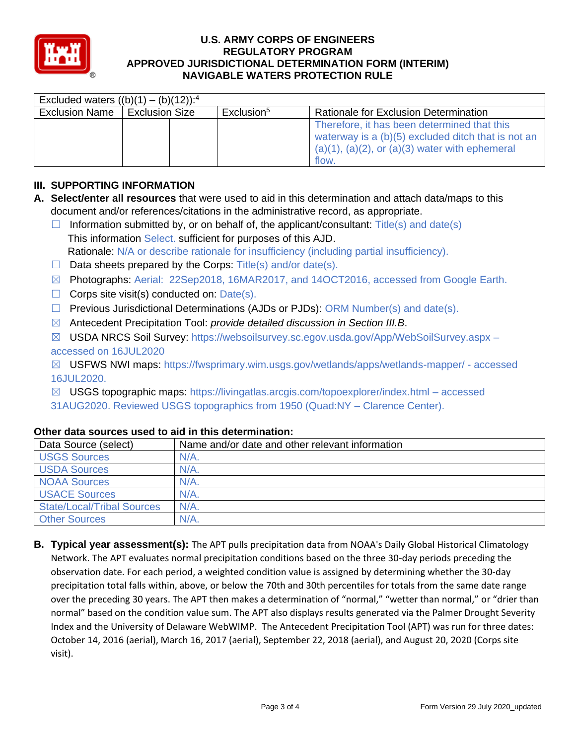

| Excluded waters $((b)(1) - (b)(12))$ : <sup>4</sup> |                       |  |                        |                                                                                                                                                                  |  |  |  |
|-----------------------------------------------------|-----------------------|--|------------------------|------------------------------------------------------------------------------------------------------------------------------------------------------------------|--|--|--|
| <b>Exclusion Name</b>                               | <b>Exclusion Size</b> |  | Exclusion <sup>5</sup> | Rationale for Exclusion Determination                                                                                                                            |  |  |  |
|                                                     |                       |  |                        | Therefore, it has been determined that this<br>waterway is a (b)(5) excluded ditch that is not an<br>$(a)(1), (a)(2),$ or $(a)(3)$ water with ephemeral<br>flow. |  |  |  |

# **III. SUPPORTING INFORMATION**

- **A. Select/enter all resources** that were used to aid in this determination and attach data/maps to this document and/or references/citations in the administrative record, as appropriate.
	- $\Box$  Information submitted by, or on behalf of, the applicant/consultant: Title(s) and date(s) This information Select. sufficient for purposes of this AJD. Rationale: N/A or describe rationale for insufficiency (including partial insufficiency).
	- $\Box$  Data sheets prepared by the Corps: Title(s) and/or date(s).
	- ☒ Photographs: Aerial: 22Sep2018, 16MAR2017, and 14OCT2016, accessed from Google Earth.
	- $\Box$  Corps site visit(s) conducted on: Date(s).
	- $\Box$  Previous Jurisdictional Determinations (AJDs or PJDs): ORM Number(s) and date(s).
	- ☒ Antecedent Precipitation Tool: *provide detailed discussion in Section III.B*.
	- ☒ USDA NRCS Soil Survey: https://websoilsurvey.sc.egov.usda.gov/App/WebSoilSurvey.aspx –

## accessed on 16JUL2020

☒ USFWS NWI maps: https://fwsprimary.wim.usgs.gov/wetlands/apps/wetlands-mapper/ - accessed 16JUL2020.

☒ USGS topographic maps: https://livingatlas.arcgis.com/topoexplorer/index.html – accessed 31AUG2020. Reviewed USGS topographics from 1950 (Quad:NY – Clarence Center).

| Data Source (select)              | Name and/or date and other relevant information |
|-----------------------------------|-------------------------------------------------|
| <b>USGS Sources</b>               | $N/A$ .                                         |
| <b>USDA Sources</b>               | $N/A$ .                                         |
| <b>NOAA Sources</b>               | N/A                                             |
| <b>USACE Sources</b>              | N/A                                             |
| <b>State/Local/Tribal Sources</b> | $N/A$ .                                         |
| <b>Other Sources</b>              | N/A                                             |

## **Other data sources used to aid in this determination:**

**B. Typical year assessment(s):** The APT pulls precipitation data from NOAA's Daily Global Historical Climatology Network. The APT evaluates normal precipitation conditions based on the three 30-day periods preceding the observation date. For each period, a weighted condition value is assigned by determining whether the 30-day precipitation total falls within, above, or below the 70th and 30th percentiles for totals from the same date range over the preceding 30 years. The APT then makes a determination of "normal," "wetter than normal," or "drier than normal" based on the condition value sum. The APT also displays results generated via the Palmer Drought Severity Index and the University of Delaware WebWIMP. The Antecedent Precipitation Tool (APT) was run for three dates: October 14, 2016 (aerial), March 16, 2017 (aerial), September 22, 2018 (aerial), and August 20, 2020 (Corps site visit).